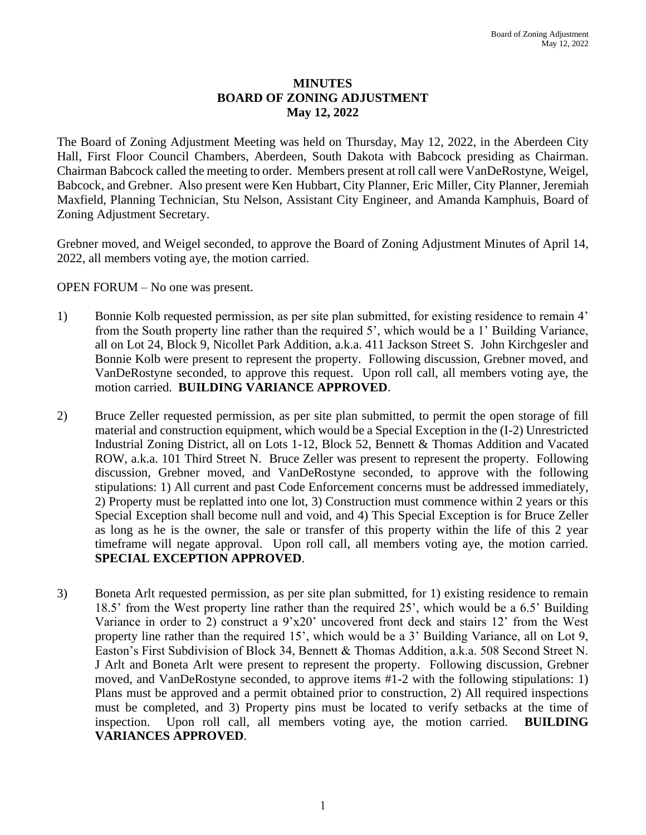## **MINUTES BOARD OF ZONING ADJUSTMENT May 12, 2022**

The Board of Zoning Adjustment Meeting was held on Thursday, May 12, 2022, in the Aberdeen City Hall, First Floor Council Chambers, Aberdeen, South Dakota with Babcock presiding as Chairman. Chairman Babcock called the meeting to order. Members present at roll call were VanDeRostyne, Weigel, Babcock, and Grebner. Also present were Ken Hubbart, City Planner, Eric Miller, City Planner, Jeremiah Maxfield, Planning Technician, Stu Nelson, Assistant City Engineer, and Amanda Kamphuis, Board of Zoning Adjustment Secretary.

Grebner moved, and Weigel seconded, to approve the Board of Zoning Adjustment Minutes of April 14, 2022, all members voting aye, the motion carried.

OPEN FORUM – No one was present.

- 1) Bonnie Kolb requested permission, as per site plan submitted, for existing residence to remain 4' from the South property line rather than the required 5', which would be a 1' Building Variance, all on Lot 24, Block 9, Nicollet Park Addition, a.k.a. 411 Jackson Street S. John Kirchgesler and Bonnie Kolb were present to represent the property. Following discussion, Grebner moved, and VanDeRostyne seconded, to approve this request. Upon roll call, all members voting aye, the motion carried. **BUILDING VARIANCE APPROVED**.
- 2) Bruce Zeller requested permission, as per site plan submitted, to permit the open storage of fill material and construction equipment, which would be a Special Exception in the (I-2) Unrestricted Industrial Zoning District, all on Lots 1-12, Block 52, Bennett & Thomas Addition and Vacated ROW, a.k.a. 101 Third Street N. Bruce Zeller was present to represent the property. Following discussion, Grebner moved, and VanDeRostyne seconded, to approve with the following stipulations: 1) All current and past Code Enforcement concerns must be addressed immediately, 2) Property must be replatted into one lot, 3) Construction must commence within 2 years or this Special Exception shall become null and void, and 4) This Special Exception is for Bruce Zeller as long as he is the owner, the sale or transfer of this property within the life of this 2 year timeframe will negate approval. Upon roll call, all members voting aye, the motion carried. **SPECIAL EXCEPTION APPROVED**.
- 3) Boneta Arlt requested permission, as per site plan submitted, for 1) existing residence to remain 18.5' from the West property line rather than the required 25', which would be a 6.5' Building Variance in order to 2) construct a 9'x20' uncovered front deck and stairs 12' from the West property line rather than the required 15', which would be a 3' Building Variance, all on Lot 9, Easton's First Subdivision of Block 34, Bennett & Thomas Addition, a.k.a. 508 Second Street N. J Arlt and Boneta Arlt were present to represent the property. Following discussion, Grebner moved, and VanDeRostyne seconded, to approve items #1-2 with the following stipulations: 1) Plans must be approved and a permit obtained prior to construction, 2) All required inspections must be completed, and 3) Property pins must be located to verify setbacks at the time of inspection. Upon roll call, all members voting aye, the motion carried. **BUILDING VARIANCES APPROVED**.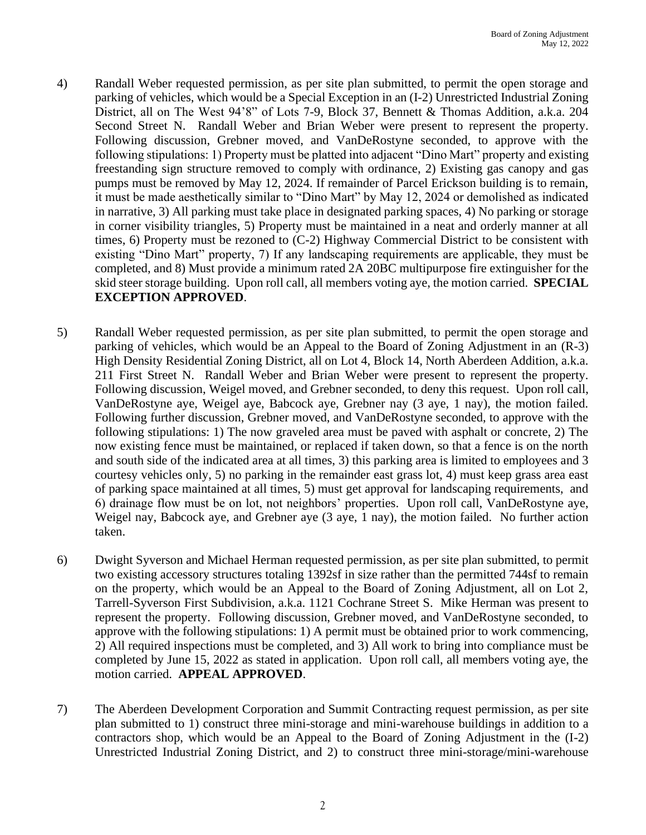- 4) Randall Weber requested permission, as per site plan submitted, to permit the open storage and parking of vehicles, which would be a Special Exception in an (I-2) Unrestricted Industrial Zoning District, all on The West 94'8" of Lots 7-9, Block 37, Bennett & Thomas Addition, a.k.a. 204 Second Street N. Randall Weber and Brian Weber were present to represent the property. Following discussion, Grebner moved, and VanDeRostyne seconded, to approve with the following stipulations: 1) Property must be platted into adjacent "Dino Mart" property and existing freestanding sign structure removed to comply with ordinance, 2) Existing gas canopy and gas pumps must be removed by May 12, 2024. If remainder of Parcel Erickson building is to remain, it must be made aesthetically similar to "Dino Mart" by May 12, 2024 or demolished as indicated in narrative, 3) All parking must take place in designated parking spaces, 4) No parking or storage in corner visibility triangles, 5) Property must be maintained in a neat and orderly manner at all times, 6) Property must be rezoned to (C-2) Highway Commercial District to be consistent with existing "Dino Mart" property, 7) If any landscaping requirements are applicable, they must be completed, and 8) Must provide a minimum rated 2A 20BC multipurpose fire extinguisher for the skid steer storage building. Upon roll call, all members voting aye, the motion carried. **SPECIAL EXCEPTION APPROVED**.
- 5) Randall Weber requested permission, as per site plan submitted, to permit the open storage and parking of vehicles, which would be an Appeal to the Board of Zoning Adjustment in an (R-3) High Density Residential Zoning District, all on Lot 4, Block 14, North Aberdeen Addition, a.k.a. 211 First Street N. Randall Weber and Brian Weber were present to represent the property. Following discussion, Weigel moved, and Grebner seconded, to deny this request. Upon roll call, VanDeRostyne aye, Weigel aye, Babcock aye, Grebner nay (3 aye, 1 nay), the motion failed. Following further discussion, Grebner moved, and VanDeRostyne seconded, to approve with the following stipulations: 1) The now graveled area must be paved with asphalt or concrete, 2) The now existing fence must be maintained, or replaced if taken down, so that a fence is on the north and south side of the indicated area at all times, 3) this parking area is limited to employees and 3 courtesy vehicles only, 5) no parking in the remainder east grass lot, 4) must keep grass area east of parking space maintained at all times, 5) must get approval for landscaping requirements, and 6) drainage flow must be on lot, not neighbors' properties. Upon roll call, VanDeRostyne aye, Weigel nay, Babcock aye, and Grebner aye (3 aye, 1 nay), the motion failed. No further action taken.
- 6) Dwight Syverson and Michael Herman requested permission, as per site plan submitted, to permit two existing accessory structures totaling 1392sf in size rather than the permitted 744sf to remain on the property, which would be an Appeal to the Board of Zoning Adjustment, all on Lot 2, Tarrell-Syverson First Subdivision, a.k.a. 1121 Cochrane Street S. Mike Herman was present to represent the property. Following discussion, Grebner moved, and VanDeRostyne seconded, to approve with the following stipulations: 1) A permit must be obtained prior to work commencing, 2) All required inspections must be completed, and 3) All work to bring into compliance must be completed by June 15, 2022 as stated in application. Upon roll call, all members voting aye, the motion carried. **APPEAL APPROVED**.
- 7) The Aberdeen Development Corporation and Summit Contracting request permission, as per site plan submitted to 1) construct three mini-storage and mini-warehouse buildings in addition to a contractors shop, which would be an Appeal to the Board of Zoning Adjustment in the (I-2) Unrestricted Industrial Zoning District, and 2) to construct three mini-storage/mini-warehouse